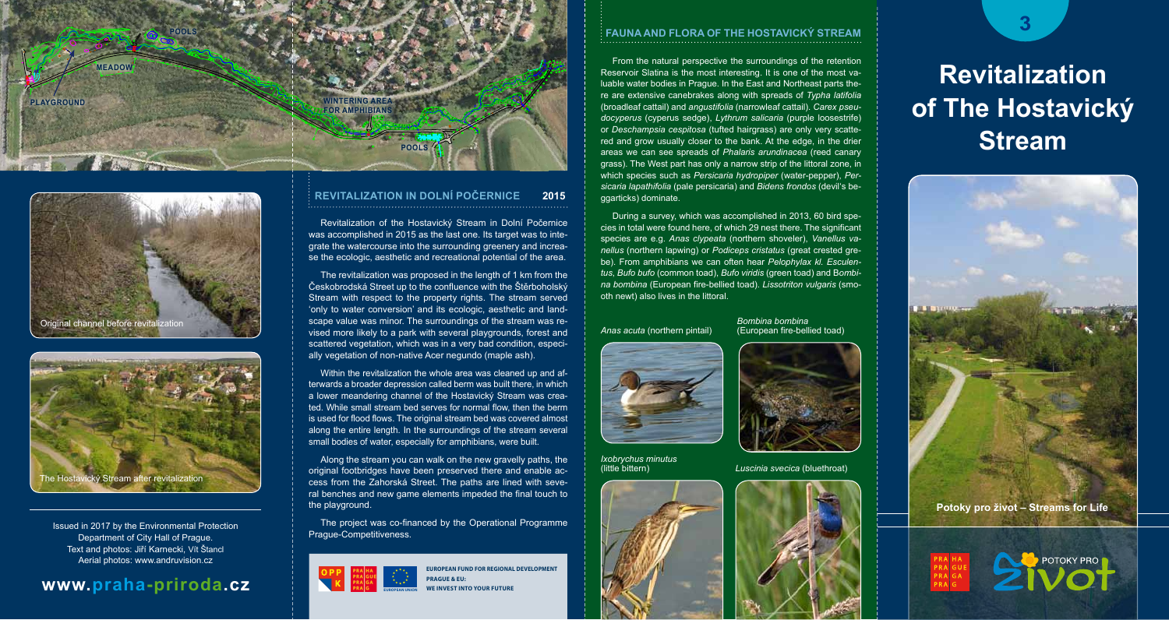





Prague-Competitiveness. Issued in 2017 by the Environmental Protection Department of City Hall of Prague. Text and photos: Jiří Karnecki, Vít Štancl Aerial photos: www.andruvision.cz

## **www.praha-priroda.cz**

### **Revitalization in Dolní PoČernice 2015**

Revitalization of the Hostavický Stream in Dolní Počernice was accomplished in 2015 as the last one. Its target was to integrate the watercourse into the surrounding greenery and increase the ecologic, aesthetic and recreational potential of the area.

The revitalization was proposed in the length of 1 km from the Českobrodská Street up to the confluence with the Štěrboholský Stream with respect to the property rights. The stream served 'only to water conversion' and its ecologic, aesthetic and landscape value was minor. The surroundings of the stream was revised more likely to a park with several playgrounds, forest and scattered vegetation, which was in a very bad condition, especially vegetation of non-native Acer negundo (maple ash).

Within the revitalization the whole area was cleaned up and afterwards a broader depression called berm was built there, in which a lower meandering channel of the Hostavický Stream was created. While small stream bed serves for normal flow, then the berm is used for flood flows. The original stream bed was covered almost along the entire length. In the surroundings of the stream several small bodies of water, especially for amphibians, were built.

Along the stream you can walk on the new gravelly paths, the original footbridges have been preserved there and enable access from the Zahorská Street. The paths are lined with several benches and new game elements impeded the final touch to the playground.

The project was co-financed by the Operational Programme



**European Fund for regional development Prague & EU: EXECUTE INTO YOUR FUTURE** 

#### **Fauna and Flora of the Hostavický Stream**

From the natural perspective the surroundings of the retention Reservoir Slatina is the most interesting. It is one of the most valuable water bodies in Prague. In the East and Northeast parts there are extensive canebrakes along with spreads of *Typha latifolia*  (broadleaf cattail) and *angustifolia* (narrowleaf cattail). *Carex pseudocyperus* (cyperus sedge), *Lythrum salicaria* (purple loosestrife) or *Deschampsia cespitosa* (tufted hairgrass) are only very scattered and grow usually closer to the bank. At the edge, in the drier areas we can see spreads of *Phalaris arundinacea* (reed canary grass). The West part has only a narrow strip of the littoral zone, in which species such as *Persicaria hydropiper* (water-pepper), *Persicaria lapathifolia* (pale persicaria) and *Bidens frondos* (devil's beggarticks) dominate.

During a survey, which was accomplished in 2013, 60 bird species in total were found here, of which 29 nest there. The significant species are e.g. *Anas clypeata* (northern shoveler), *Vanellus vanellus* (northern lapwing) or *Podiceps cristatus* (great crested grebe). From amphibians we can often hear *Pelophylax kl. Esculentus*, *Bufo bufo* (common toad), *Bufo viridis* (green toad) and B*ombina bombina* (European fire-bellied toad). *Lissotriton vulgaris* (smooth newt) also lives in the littoral.

*Bombina bombina*

(little bittern) *Luscinia svecica* (bluethroat)

*Anas acuta* (northern pintail) (European fire-bellied toad)



*Ixobrychus minutus*



# **Revitalization of The Hostavický Stream**





**3**